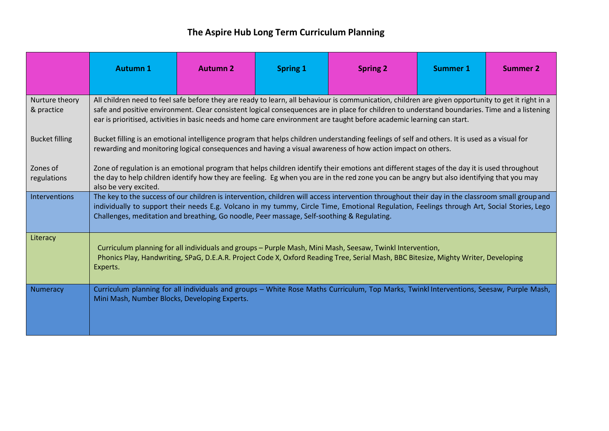## **The Aspire Hub Long Term Curriculum Planning**

|                              | <b>Autumn 1</b>                                                                                                                                                                                                                                                                                                                                                                                                               | <b>Autumn 2</b> | <b>Spring 1</b> | <b>Spring 2</b> | <b>Summer 1</b> | <b>Summer 2</b> |  |  |
|------------------------------|-------------------------------------------------------------------------------------------------------------------------------------------------------------------------------------------------------------------------------------------------------------------------------------------------------------------------------------------------------------------------------------------------------------------------------|-----------------|-----------------|-----------------|-----------------|-----------------|--|--|
| Nurture theory<br>& practice | All children need to feel safe before they are ready to learn, all behaviour is communication, children are given opportunity to get it right in a<br>safe and positive environment. Clear consistent logical consequences are in place for children to understand boundaries. Time and a listening<br>ear is prioritised, activities in basic needs and home care environment are taught before academic learning can start. |                 |                 |                 |                 |                 |  |  |
| <b>Bucket filling</b>        | Bucket filling is an emotional intelligence program that helps children understanding feelings of self and others. It is used as a visual for<br>rewarding and monitoring logical consequences and having a visual awareness of how action impact on others.                                                                                                                                                                  |                 |                 |                 |                 |                 |  |  |
| Zones of<br>regulations      | Zone of regulation is an emotional program that helps children identify their emotions ant different stages of the day it is used throughout<br>the day to help children identify how they are feeling. Eg when you are in the red zone you can be angry but also identifying that you may<br>also be very excited.                                                                                                           |                 |                 |                 |                 |                 |  |  |
| Interventions                | The key to the success of our children is intervention, children will access intervention throughout their day in the classroom small group and<br>individually to support their needs E.g. Volcano in my tummy, Circle Time, Emotional Regulation, Feelings through Art, Social Stories, Lego<br>Challenges, meditation and breathing, Go noodle, Peer massage, Self-soothing & Regulating.                                  |                 |                 |                 |                 |                 |  |  |
| Literacy                     | Curriculum planning for all individuals and groups - Purple Mash, Mini Mash, Seesaw, Twinkl Intervention,<br>Phonics Play, Handwriting, SPaG, D.E.A.R. Project Code X, Oxford Reading Tree, Serial Mash, BBC Bitesize, Mighty Writer, Developing<br>Experts.                                                                                                                                                                  |                 |                 |                 |                 |                 |  |  |
| Numeracy                     | Curriculum planning for all individuals and groups - White Rose Maths Curriculum, Top Marks, Twinkl Interventions, Seesaw, Purple Mash,<br>Mini Mash, Number Blocks, Developing Experts.                                                                                                                                                                                                                                      |                 |                 |                 |                 |                 |  |  |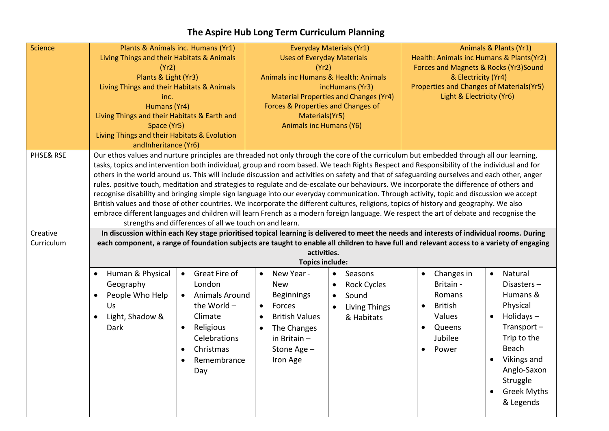## **The Aspire Hub Long Term Curriculum Planning**

| <b>Science</b>                                 | Plants & Animals inc. Humans (Yr1)<br>Living Things and their Habitats & Animals<br>(Yr2)<br>Plants & Light (Yr3)<br>Living Things and their Habitats & Animals<br>inc.<br>Humans (Yr4)<br>Living Things and their Habitats & Earth and<br>Space (Yr5)<br>Living Things and their Habitats & Evolution<br>andInheritance (Yr6)                                                                                                                                                                                                                                                                                                                                                                                                                                                                                                                                                                                                                                                                                                                                                                                                                                                                                                                                                                                                                                                                                      |                                                                                                                                                                                   | <b>Everyday Materials (Yr1)</b><br><b>Uses of Everyday Materials</b><br>(Yr2)<br><b>Animals inc Humans &amp; Health: Animals</b><br>incHumans (Yr3)<br><b>Material Properties and Changes (Yr4)</b><br>Forces & Properties and Changes of<br>Materials(Yr5)<br><b>Animals inc Humans (Y6)</b> |                                                                                                 | Animals & Plants (Yr1)<br>Health: Animals inc Humans & Plants(Yr2)<br>Forces and Magnets & Rocks (Yr3)Sound<br>& Electricity (Yr4)<br>Properties and Changes of Materials(Yr5)<br>Light & Electricity (Yr6) |                                                                                                                                                                                                                      |  |
|------------------------------------------------|---------------------------------------------------------------------------------------------------------------------------------------------------------------------------------------------------------------------------------------------------------------------------------------------------------------------------------------------------------------------------------------------------------------------------------------------------------------------------------------------------------------------------------------------------------------------------------------------------------------------------------------------------------------------------------------------------------------------------------------------------------------------------------------------------------------------------------------------------------------------------------------------------------------------------------------------------------------------------------------------------------------------------------------------------------------------------------------------------------------------------------------------------------------------------------------------------------------------------------------------------------------------------------------------------------------------------------------------------------------------------------------------------------------------|-----------------------------------------------------------------------------------------------------------------------------------------------------------------------------------|-----------------------------------------------------------------------------------------------------------------------------------------------------------------------------------------------------------------------------------------------------------------------------------------------|-------------------------------------------------------------------------------------------------|-------------------------------------------------------------------------------------------------------------------------------------------------------------------------------------------------------------|----------------------------------------------------------------------------------------------------------------------------------------------------------------------------------------------------------------------|--|
| <b>PHSE&amp; RSE</b><br>Creative<br>Curriculum | Our ethos values and nurture principles are threaded not only through the core of the curriculum but embedded through all our learning,<br>tasks, topics and intervention both individual, group and room based. We teach Rights Respect and Responsibility of the individual and for<br>others in the world around us. This will include discussion and activities on safety and that of safeguarding ourselves and each other, anger<br>rules. positive touch, meditation and strategies to regulate and de-escalate our behaviours. We incorporate the difference of others and<br>recognise disability and bringing simple sign language into our everyday communication. Through activity, topic and discussion we accept<br>British values and those of other countries. We incorporate the different cultures, religions, topics of history and geography. We also<br>embrace different languages and children will learn French as a modern foreign language. We respect the art of debate and recognise the<br>strengths and differences of all we touch on and learn.<br>In discussion within each Key stage prioritised topical learning is delivered to meet the needs and interests of individual rooms. During<br>each component, a range of foundation subjects are taught to enable all children to have full and relevant access to a variety of engaging<br>activities.<br><b>Topics include:</b> |                                                                                                                                                                                   |                                                                                                                                                                                                                                                                                               |                                                                                                 |                                                                                                                                                                                                             |                                                                                                                                                                                                                      |  |
|                                                | Human & Physical<br>Geography<br>People Who Help<br>$\bullet$<br>Us<br>Light, Shadow &<br>$\bullet$<br>Dark                                                                                                                                                                                                                                                                                                                                                                                                                                                                                                                                                                                                                                                                                                                                                                                                                                                                                                                                                                                                                                                                                                                                                                                                                                                                                                         | Great Fire of<br>$\bullet$<br>London<br><b>Animals Around</b><br>$\bullet$<br>the World -<br>Climate<br>Religious<br>$\bullet$<br>Celebrations<br>Christmas<br>Remembrance<br>Day | New Year -<br>$\bullet$<br><b>New</b><br><b>Beginnings</b><br>Forces<br>$\bullet$<br><b>British Values</b><br>The Changes<br>in Britain $-$<br>Stone Age -<br>Iron Age                                                                                                                        | Seasons<br>$\bullet$<br><b>Rock Cycles</b><br>Sound<br>$\bullet$<br>Living Things<br>& Habitats | Changes in<br>$\bullet$<br>Britain -<br>Romans<br><b>British</b><br>$\bullet$<br>Values<br>Queens<br>$\bullet$<br>Jubilee<br>Power<br>$\bullet$                                                             | Natural<br>$\bullet$<br>Disasters-<br>Humans &<br>Physical<br>Holidays-<br>$\bullet$<br>Transport-<br>Trip to the<br>Beach<br>Vikings and<br>Anglo-Saxon<br>Struggle<br><b>Greek Myths</b><br>$\bullet$<br>& Legends |  |